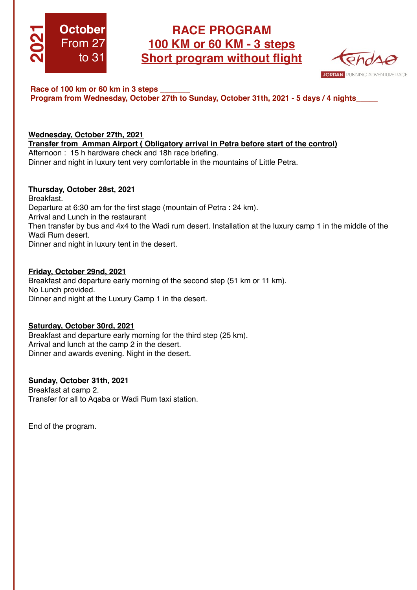

# **RACE PROGRAM 100 KM or 60 KM - 3 steps Short program without flight**



## **Race of 100 km or 60 km in 3 steps \_\_\_\_\_\_\_ Program from Wednesday, October 27th to Sunday, October 31th, 2021 - 5 days / 4 nights\_\_\_\_\_**

### **Wednesday, October 27th, 2021 Transfer from Amman Airport ( Obligatory arrival in Petra before start of the control)** Afternoon : 15 h hardware check and 18h race briefing. Dinner and night in luxury tent very comfortable in the mountains of Little Petra.

# **Thursday, October 28st, 2021**

Breakfast. Departure at 6:30 am for the first stage (mountain of Petra : 24 km). Arrival and Lunch in the restaurant Then transfer by bus and 4x4 to the Wadi rum desert. Installation at the luxury camp 1 in the middle of the Wadi Rum desert. Dinner and night in luxury tent in the desert.

## **Friday, October 29nd, 2021**

Breakfast and departure early morning of the second step (51 km or 11 km). No Lunch provided. Dinner and night at the Luxury Camp 1 in the desert.

# **Saturday, October 30rd, 2021**

Breakfast and departure early morning for the third step (25 km). Arrival and lunch at the camp 2 in the desert. Dinner and awards evening. Night in the desert.

# **Sunday, October 31th, 2021**

Breakfast at camp 2. Transfer for all to Aqaba or Wadi Rum taxi station.

End of the program.